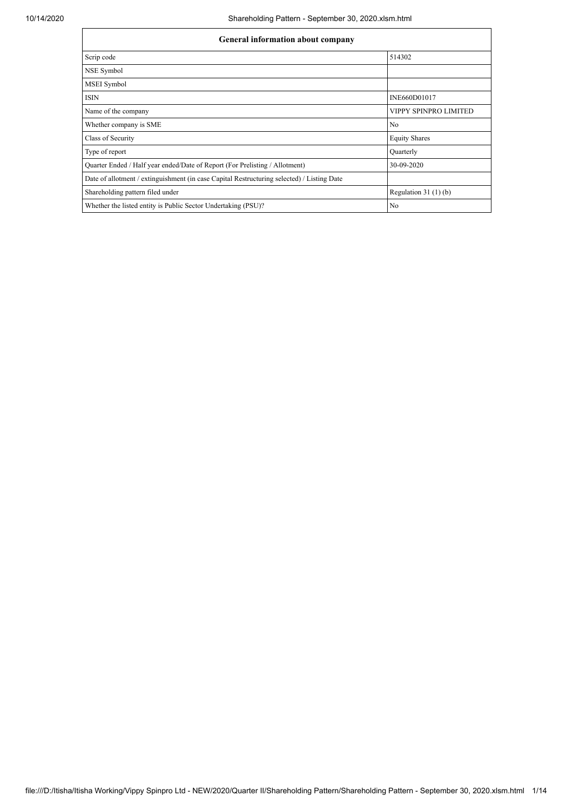| <b>General information about company</b>                                                   |                       |  |  |  |  |  |  |
|--------------------------------------------------------------------------------------------|-----------------------|--|--|--|--|--|--|
| Scrip code                                                                                 | 514302                |  |  |  |  |  |  |
| NSE Symbol                                                                                 |                       |  |  |  |  |  |  |
| <b>MSEI</b> Symbol                                                                         |                       |  |  |  |  |  |  |
| <b>ISIN</b>                                                                                | INE660D01017          |  |  |  |  |  |  |
| Name of the company                                                                        | VIPPY SPINPRO LIMITED |  |  |  |  |  |  |
| Whether company is SME                                                                     | N <sub>o</sub>        |  |  |  |  |  |  |
| Class of Security                                                                          | <b>Equity Shares</b>  |  |  |  |  |  |  |
| Type of report                                                                             | Quarterly             |  |  |  |  |  |  |
| Quarter Ended / Half year ended/Date of Report (For Prelisting / Allotment)                | 30-09-2020            |  |  |  |  |  |  |
| Date of allotment / extinguishment (in case Capital Restructuring selected) / Listing Date |                       |  |  |  |  |  |  |
| Shareholding pattern filed under                                                           | Regulation $31(1)(b)$ |  |  |  |  |  |  |
| Whether the listed entity is Public Sector Undertaking (PSU)?                              | No                    |  |  |  |  |  |  |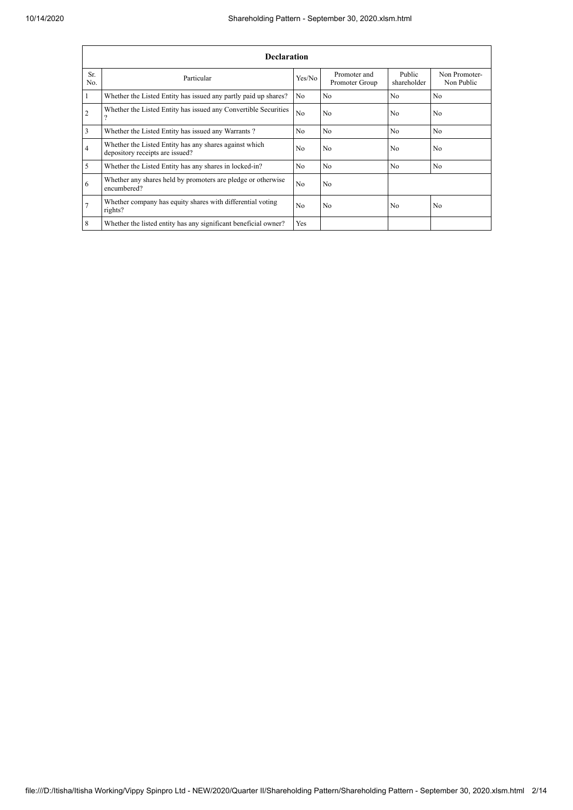|                | <b>Declaration</b>                                                                        |                |                                |                       |                             |  |  |  |  |
|----------------|-------------------------------------------------------------------------------------------|----------------|--------------------------------|-----------------------|-----------------------------|--|--|--|--|
| Sr.<br>No.     | Particular                                                                                | Yes/No         | Promoter and<br>Promoter Group | Public<br>shareholder | Non Promoter-<br>Non Public |  |  |  |  |
|                | Whether the Listed Entity has issued any partly paid up shares?                           | No             | N <sub>o</sub>                 | N <sub>o</sub>        | N <sub>o</sub>              |  |  |  |  |
| $\overline{2}$ | Whether the Listed Entity has issued any Convertible Securities<br>$\Omega$               | N <sub>0</sub> | N <sub>0</sub>                 | N <sub>0</sub>        | No                          |  |  |  |  |
| 3              | Whether the Listed Entity has issued any Warrants?                                        | No             | No.                            | N <sub>o</sub>        | No                          |  |  |  |  |
| $\overline{4}$ | Whether the Listed Entity has any shares against which<br>depository receipts are issued? | N <sub>0</sub> | N <sub>o</sub>                 | N <sub>0</sub>        | N <sub>o</sub>              |  |  |  |  |
| 5              | Whether the Listed Entity has any shares in locked-in?                                    | N <sub>o</sub> | N <sub>o</sub>                 | N <sub>0</sub>        | No                          |  |  |  |  |
| 6              | Whether any shares held by promoters are pledge or otherwise<br>encumbered?               | N <sub>o</sub> | N <sub>o</sub>                 |                       |                             |  |  |  |  |
| 7              | Whether company has equity shares with differential voting<br>rights?                     | No             | No                             | No                    | No                          |  |  |  |  |
| 8              | Whether the listed entity has any significant beneficial owner?                           | Yes            |                                |                       |                             |  |  |  |  |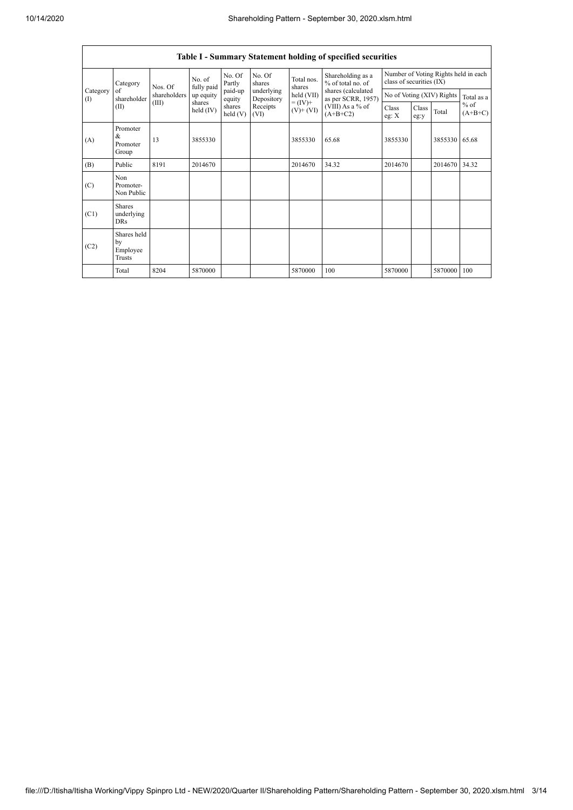|                          | Table I - Summary Statement holding of specified securities |                         |                       |                   |                          |                                                                    |                                                                                                                      |                                                                  |               |                           |                     |
|--------------------------|-------------------------------------------------------------|-------------------------|-----------------------|-------------------|--------------------------|--------------------------------------------------------------------|----------------------------------------------------------------------------------------------------------------------|------------------------------------------------------------------|---------------|---------------------------|---------------------|
|                          | Category<br>of<br>shareholder<br>(II)                       | Nos. Of<br>shareholders | No. of<br>fully paid  | No. Of<br>Partly  | No. Of<br>shares         | Total nos.<br>shares<br>held (VII)<br>$= (IV) +$<br>$(V)$ + $(VI)$ | Shareholding as a<br>% of total no. of<br>shares (calculated<br>as per SCRR, 1957)<br>(VIII) As a % of<br>$(A+B+C2)$ | Number of Voting Rights held in each<br>class of securities (IX) |               |                           |                     |
| Category<br>$($ $\Gamma$ |                                                             |                         | up equity             | paid-up<br>equity | underlying<br>Depository |                                                                    |                                                                                                                      |                                                                  |               | No of Voting (XIV) Rights | Total as a          |
|                          |                                                             | (III)                   | shares<br>held $(IV)$ | shares<br>held(V) | Receipts<br>(VI)         |                                                                    |                                                                                                                      | Class<br>eg: X                                                   | Class<br>eg:y | Total                     | $%$ of<br>$(A+B+C)$ |
| (A)                      | Promoter<br>&<br>Promoter<br>Group                          | 13                      | 3855330               |                   |                          | 3855330                                                            | 65.68                                                                                                                | 3855330                                                          |               | 3855330                   | 65.68               |
| (B)                      | Public                                                      | 8191                    | 2014670               |                   |                          | 2014670                                                            | 34.32                                                                                                                | 2014670                                                          |               | 2014670                   | 34.32               |
| (C)                      | Non<br>Promoter-<br>Non Public                              |                         |                       |                   |                          |                                                                    |                                                                                                                      |                                                                  |               |                           |                     |
| (C1)                     | <b>Shares</b><br>underlying<br><b>DRs</b>                   |                         |                       |                   |                          |                                                                    |                                                                                                                      |                                                                  |               |                           |                     |
| (C2)                     | Shares held<br>by<br>Employee<br>Trusts                     |                         |                       |                   |                          |                                                                    |                                                                                                                      |                                                                  |               |                           |                     |
|                          | Total                                                       | 8204                    | 5870000               |                   |                          | 5870000                                                            | 100                                                                                                                  | 5870000                                                          |               | 5870000                   | 100                 |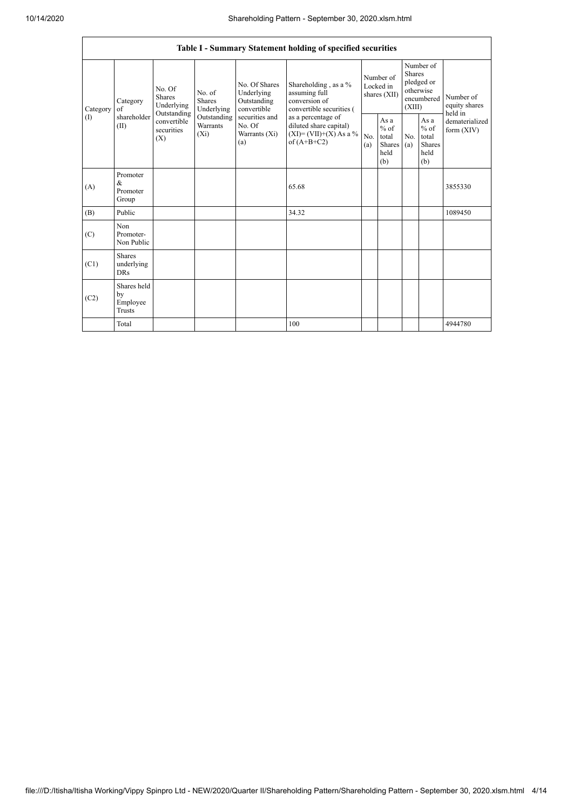|               | Table I - Summary Statement holding of specified securities |                                                                                                                                                    |                                                  |                                                                                          |                                                                                    |                                                         |            |                                                                               |                                |                                       |  |
|---------------|-------------------------------------------------------------|----------------------------------------------------------------------------------------------------------------------------------------------------|--------------------------------------------------|------------------------------------------------------------------------------------------|------------------------------------------------------------------------------------|---------------------------------------------------------|------------|-------------------------------------------------------------------------------|--------------------------------|---------------------------------------|--|
| Category<br>( | Category<br>of<br>shareholder<br>(II)                       | No. Of<br>No. of<br>Shares<br><b>Shares</b><br>Underlying<br>Outstanding<br>Outstanding<br>convertible<br>Warrants<br>securities<br>$(X_i)$<br>(X) | Underlying                                       | No. Of Shares<br>Underlying<br>Outstanding<br>convertible                                | Shareholding, as a %<br>assuming full<br>conversion of<br>convertible securities ( | Number of<br>Locked in<br>shares (XII)                  |            | Number of<br><b>Shares</b><br>pledged or<br>otherwise<br>encumbered<br>(XIII) |                                | Number of<br>equity shares<br>held in |  |
|               |                                                             |                                                                                                                                                    | securities and<br>No. Of<br>Warrants (Xi)<br>(a) | as a percentage of<br>diluted share capital)<br>$(XI)=(VII)+(X) As a %$<br>of $(A+B+C2)$ | No.<br>(a)                                                                         | As a<br>$%$ of<br>total<br><b>Shares</b><br>held<br>(b) | No.<br>(a) | As a<br>$%$ of<br>total<br><b>Shares</b><br>held<br>(b)                       | dematerialized<br>form $(XIV)$ |                                       |  |
| (A)           | Promoter<br>&<br>Promoter<br>Group                          |                                                                                                                                                    |                                                  |                                                                                          | 65.68                                                                              |                                                         |            |                                                                               |                                | 3855330                               |  |
| (B)           | Public                                                      |                                                                                                                                                    |                                                  |                                                                                          | 34.32                                                                              |                                                         |            |                                                                               |                                | 1089450                               |  |
| (C)           | Non<br>Promoter-<br>Non Public                              |                                                                                                                                                    |                                                  |                                                                                          |                                                                                    |                                                         |            |                                                                               |                                |                                       |  |
| (C1)          | <b>Shares</b><br>underlying<br><b>DRs</b>                   |                                                                                                                                                    |                                                  |                                                                                          |                                                                                    |                                                         |            |                                                                               |                                |                                       |  |
| (C2)          | Shares held<br>by<br>Employee<br><b>Trusts</b>              |                                                                                                                                                    |                                                  |                                                                                          |                                                                                    |                                                         |            |                                                                               |                                |                                       |  |
|               | Total                                                       |                                                                                                                                                    |                                                  |                                                                                          | 100                                                                                |                                                         |            |                                                                               |                                | 4944780                               |  |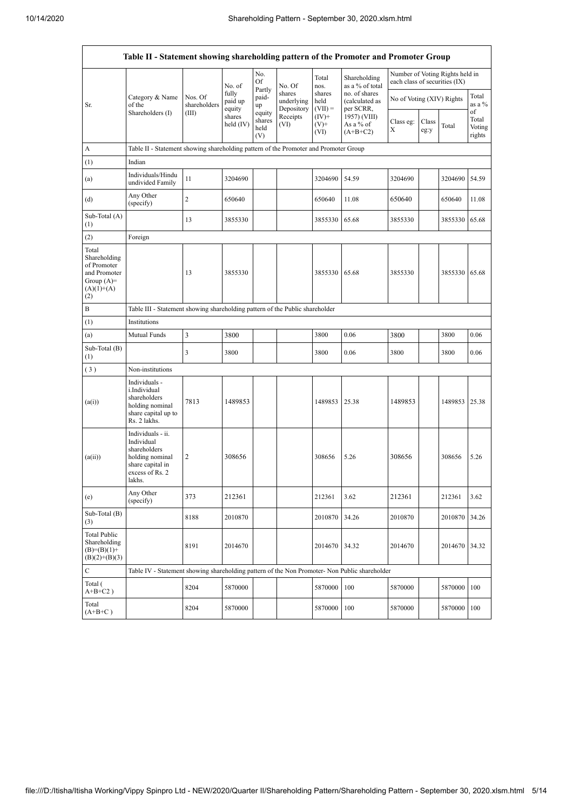|                                                                                             | Table II - Statement showing shareholding pattern of the Promoter and Promoter Group                                |                         |                            |                                 |                                    |                             |                                              |                               |               |                                 |                           |
|---------------------------------------------------------------------------------------------|---------------------------------------------------------------------------------------------------------------------|-------------------------|----------------------------|---------------------------------|------------------------------------|-----------------------------|----------------------------------------------|-------------------------------|---------------|---------------------------------|---------------------------|
|                                                                                             |                                                                                                                     |                         | No. of                     | No.<br>Of                       | No. Of                             | Total<br>nos.               | Shareholding<br>as a % of total              | each class of securities (IX) |               | Number of Voting Rights held in |                           |
| Sr.                                                                                         | Category & Name<br>of the                                                                                           | Nos. Of<br>shareholders | fully<br>paid up<br>equity | Partly<br>paid-<br>up           | shares<br>underlying<br>Depository | shares<br>held<br>$(VII) =$ | no. of shares<br>(calculated as<br>per SCRR, | No of Voting (XIV) Rights     |               |                                 | Total<br>as a %<br>of     |
|                                                                                             | Shareholders (I)                                                                                                    | (III)                   | shares<br>held (IV)        | equity<br>shares<br>held<br>(V) | Receipts<br>(VI)                   | $(IV)^+$<br>$(V)^+$<br>(VI) | 1957) (VIII)<br>As a % of<br>$(A+B+C2)$      | Class eg:<br>Х                | Class<br>eg:y | Total                           | Total<br>Voting<br>rights |
| А                                                                                           | Table II - Statement showing shareholding pattern of the Promoter and Promoter Group                                |                         |                            |                                 |                                    |                             |                                              |                               |               |                                 |                           |
| (1)                                                                                         | Indian                                                                                                              |                         |                            |                                 |                                    |                             |                                              |                               |               |                                 |                           |
| (a)                                                                                         | Individuals/Hindu<br>undivided Family                                                                               | 11                      | 3204690                    |                                 |                                    | 3204690                     | 54.59                                        | 3204690                       |               | 3204690                         | 54.59                     |
| (d)                                                                                         | Any Other<br>(specify)                                                                                              | $\overline{c}$          | 650640                     |                                 |                                    | 650640                      | 11.08                                        | 650640                        |               | 650640                          | 11.08                     |
| Sub-Total (A)<br>(1)                                                                        |                                                                                                                     | 13                      | 3855330                    |                                 |                                    | 3855330                     | 65.68                                        | 3855330                       |               | 3855330                         | 65.68                     |
| (2)                                                                                         | Foreign                                                                                                             |                         |                            |                                 |                                    |                             |                                              |                               |               |                                 |                           |
| Total<br>Shareholding<br>of Promoter<br>and Promoter<br>Group $(A)=$<br>$(A)(1)+(A)$<br>(2) |                                                                                                                     | 13                      | 3855330                    |                                 |                                    | 3855330                     | 65.68                                        | 3855330                       |               | 3855330                         | 65.68                     |
| B                                                                                           | Table III - Statement showing shareholding pattern of the Public shareholder                                        |                         |                            |                                 |                                    |                             |                                              |                               |               |                                 |                           |
| (1)                                                                                         | Institutions                                                                                                        |                         |                            |                                 |                                    |                             |                                              |                               |               |                                 |                           |
| (a)                                                                                         | Mutual Funds                                                                                                        | 3                       | 3800                       |                                 |                                    | 3800                        | 0.06                                         | 3800                          |               | 3800                            | 0.06                      |
| Sub-Total (B)<br>(1)                                                                        |                                                                                                                     | 3                       | 3800                       |                                 |                                    | 3800                        | 0.06                                         | 3800                          |               | 3800                            | 0.06                      |
| (3)                                                                                         | Non-institutions                                                                                                    |                         |                            |                                 |                                    |                             |                                              |                               |               |                                 |                           |
| (a(i))                                                                                      | Individuals -<br>i.Individual<br>shareholders<br>holding nominal<br>share capital up to<br>Rs. 2 lakhs.             | 7813                    | 1489853                    |                                 |                                    | 1489853                     | 25.38                                        | 1489853                       |               | 1489853 25.38                   |                           |
| (a(ii))                                                                                     | Individuals - ii.<br>Individual<br>shareholders<br>holding nominal<br>share capital in<br>excess of Rs. 2<br>lakhs. | 2                       | 308656                     |                                 |                                    | 308656                      | 5.26                                         | 308656                        |               | 308656                          | 5.26                      |
| (e)                                                                                         | Any Other<br>(specify)                                                                                              | 373                     | 212361                     |                                 |                                    | 212361                      | 3.62                                         | 212361                        |               | 212361                          | 3.62                      |
| Sub-Total (B)<br>(3)                                                                        |                                                                                                                     | 8188                    | 2010870                    |                                 |                                    | 2010870                     | 34.26                                        | 2010870                       |               | 2010870                         | 34.26                     |
| <b>Total Public</b><br>Shareholding<br>$(B)=(B)(1)+$<br>$(B)(2)+(B)(3)$                     |                                                                                                                     | 8191                    | 2014670                    |                                 |                                    | 2014670                     | 34.32                                        | 2014670                       |               | 2014670                         | 34.32                     |
| ${\bf C}$                                                                                   | Table IV - Statement showing shareholding pattern of the Non Promoter- Non Public shareholder                       |                         |                            |                                 |                                    |                             |                                              |                               |               |                                 |                           |
| Total (<br>$A+B+C2$ )                                                                       |                                                                                                                     | 8204                    | 5870000                    |                                 |                                    | 5870000                     | 100                                          | 5870000                       |               | 5870000                         | 100                       |
| Total<br>$(A+B+C)$                                                                          |                                                                                                                     | 8204                    | 5870000                    |                                 |                                    | 5870000                     | 100                                          | 5870000                       |               | 5870000                         | 100                       |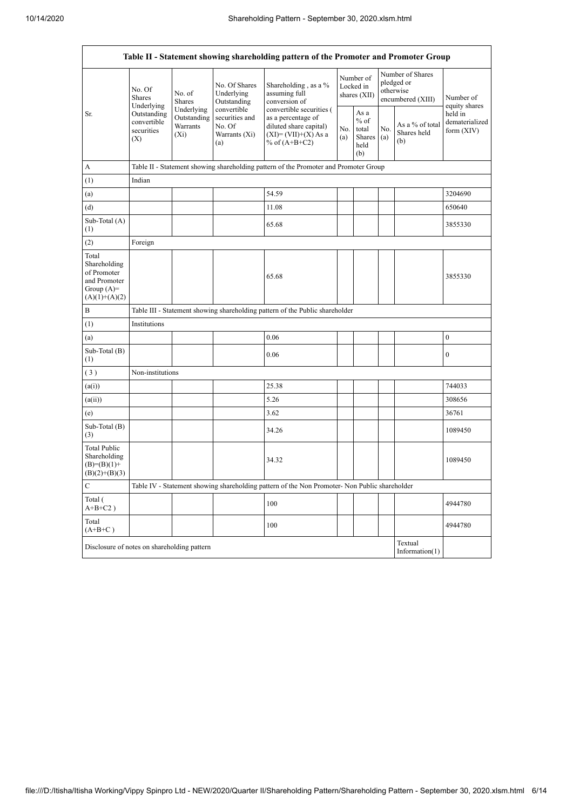| Table II - Statement showing shareholding pattern of the Promoter and Promoter Group    |                                                                                          |                                                                                                                                                                                              |                                                                                                                        |                                                                                               |                                                  |                                        |                                       |                                                                  |                            |  |  |  |
|-----------------------------------------------------------------------------------------|------------------------------------------------------------------------------------------|----------------------------------------------------------------------------------------------------------------------------------------------------------------------------------------------|------------------------------------------------------------------------------------------------------------------------|-----------------------------------------------------------------------------------------------|--------------------------------------------------|----------------------------------------|---------------------------------------|------------------------------------------------------------------|----------------------------|--|--|--|
|                                                                                         | No. Of<br><b>Shares</b><br>Underlying<br>Outstanding<br>convertible<br>securities<br>(X) | No. Of Shares<br>No. of<br>Underlying<br><b>Shares</b><br>Outstanding<br>Underlying<br>convertible<br>Outstanding<br>securities and<br>Warrants<br>No. Of<br>$(X_i)$<br>Warrants (Xi)<br>(a) |                                                                                                                        | Shareholding, as a %<br>assuming full<br>conversion of                                        |                                                  | Number of<br>Locked in<br>shares (XII) |                                       | Number of Shares<br>pledged or<br>otherwise<br>encumbered (XIII) | Number of<br>equity shares |  |  |  |
| Sr.                                                                                     |                                                                                          |                                                                                                                                                                                              | convertible securities (<br>as a percentage of<br>diluted share capital)<br>$(XI) = (VII)+(X) As a$<br>% of $(A+B+C2)$ | No.<br>(a)                                                                                    | As a<br>$%$ of<br>total<br>Shares<br>held<br>(b) | No.<br>(a)                             | As a % of total<br>Shares held<br>(b) | held in<br>dematerialized<br>form (XIV)                          |                            |  |  |  |
| A                                                                                       |                                                                                          | Table II - Statement showing shareholding pattern of the Promoter and Promoter Group                                                                                                         |                                                                                                                        |                                                                                               |                                                  |                                        |                                       |                                                                  |                            |  |  |  |
| (1)                                                                                     | Indian                                                                                   |                                                                                                                                                                                              |                                                                                                                        |                                                                                               |                                                  |                                        |                                       |                                                                  |                            |  |  |  |
| (a)                                                                                     |                                                                                          |                                                                                                                                                                                              |                                                                                                                        | 54.59                                                                                         |                                                  |                                        |                                       |                                                                  | 3204690                    |  |  |  |
| (d)                                                                                     |                                                                                          |                                                                                                                                                                                              |                                                                                                                        | 11.08                                                                                         |                                                  |                                        |                                       |                                                                  | 650640                     |  |  |  |
| Sub-Total (A)<br>(1)                                                                    |                                                                                          |                                                                                                                                                                                              |                                                                                                                        | 65.68                                                                                         |                                                  |                                        |                                       |                                                                  | 3855330                    |  |  |  |
| (2)                                                                                     | Foreign                                                                                  |                                                                                                                                                                                              |                                                                                                                        |                                                                                               |                                                  |                                        |                                       |                                                                  |                            |  |  |  |
| Total<br>Shareholding<br>of Promoter<br>and Promoter<br>Group $(A)=$<br>$(A)(1)+(A)(2)$ |                                                                                          |                                                                                                                                                                                              |                                                                                                                        | 65.68                                                                                         |                                                  |                                        |                                       |                                                                  | 3855330                    |  |  |  |
| $\, {\bf B}$                                                                            |                                                                                          | Table III - Statement showing shareholding pattern of the Public shareholder                                                                                                                 |                                                                                                                        |                                                                                               |                                                  |                                        |                                       |                                                                  |                            |  |  |  |
| (1)                                                                                     | Institutions                                                                             |                                                                                                                                                                                              |                                                                                                                        |                                                                                               |                                                  |                                        |                                       |                                                                  |                            |  |  |  |
| (a)                                                                                     |                                                                                          |                                                                                                                                                                                              |                                                                                                                        | 0.06                                                                                          |                                                  |                                        |                                       |                                                                  | $\boldsymbol{0}$           |  |  |  |
| Sub-Total (B)<br>(1)                                                                    |                                                                                          |                                                                                                                                                                                              |                                                                                                                        | 0.06                                                                                          |                                                  |                                        |                                       |                                                                  | $\boldsymbol{0}$           |  |  |  |
| (3)                                                                                     | Non-institutions                                                                         |                                                                                                                                                                                              |                                                                                                                        |                                                                                               |                                                  |                                        |                                       |                                                                  |                            |  |  |  |
| (a(i))                                                                                  |                                                                                          |                                                                                                                                                                                              |                                                                                                                        | 25.38                                                                                         |                                                  |                                        |                                       |                                                                  | 744033                     |  |  |  |
| (a(ii))                                                                                 |                                                                                          |                                                                                                                                                                                              |                                                                                                                        | 5.26                                                                                          |                                                  |                                        |                                       |                                                                  | 308656                     |  |  |  |
| (e)                                                                                     |                                                                                          |                                                                                                                                                                                              |                                                                                                                        | 3.62                                                                                          |                                                  |                                        |                                       |                                                                  | 36761                      |  |  |  |
| Sub-Total (B)<br>(3)                                                                    |                                                                                          |                                                                                                                                                                                              |                                                                                                                        | 34.26                                                                                         |                                                  |                                        |                                       |                                                                  | 1089450                    |  |  |  |
| <b>Total Public</b><br>Shareholding<br>$(B)=(B)(1)+$<br>$(B)(2)+(B)(3)$                 |                                                                                          |                                                                                                                                                                                              |                                                                                                                        | 34.32                                                                                         |                                                  |                                        |                                       |                                                                  | 1089450                    |  |  |  |
| $\mathbf C$                                                                             |                                                                                          |                                                                                                                                                                                              |                                                                                                                        | Table IV - Statement showing shareholding pattern of the Non Promoter- Non Public shareholder |                                                  |                                        |                                       |                                                                  |                            |  |  |  |
| Total (<br>$A+B+C2$ )                                                                   |                                                                                          |                                                                                                                                                                                              |                                                                                                                        | 100                                                                                           |                                                  |                                        |                                       |                                                                  | 4944780                    |  |  |  |
| Total<br>$(A+B+C)$                                                                      |                                                                                          |                                                                                                                                                                                              |                                                                                                                        | 100                                                                                           |                                                  |                                        |                                       |                                                                  | 4944780                    |  |  |  |
|                                                                                         | Textual<br>Disclosure of notes on shareholding pattern<br>Information(1)                 |                                                                                                                                                                                              |                                                                                                                        |                                                                                               |                                                  |                                        |                                       |                                                                  |                            |  |  |  |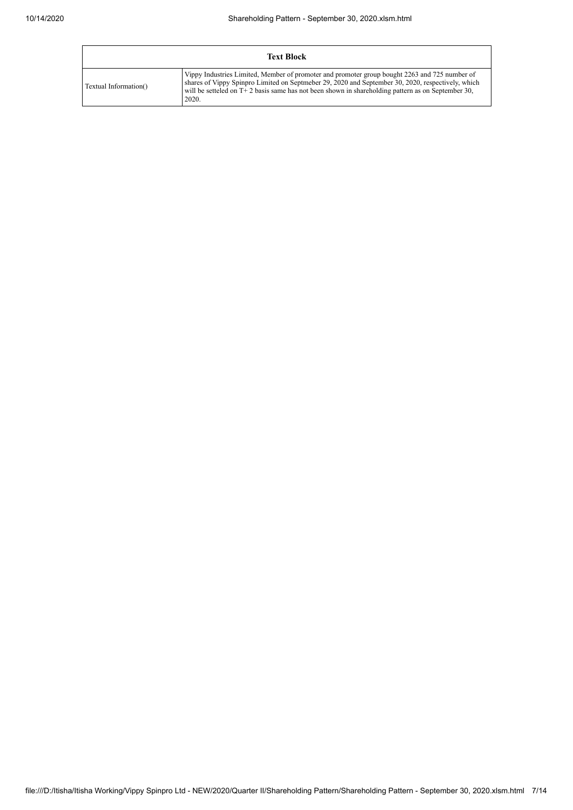| <b>Text Block</b>     |                                                                                                                                                                                                                                                                                                                      |  |  |  |  |  |
|-----------------------|----------------------------------------------------------------------------------------------------------------------------------------------------------------------------------------------------------------------------------------------------------------------------------------------------------------------|--|--|--|--|--|
| Textual Information() | Vippy Industries Limited, Member of promoter and promoter group bought 2263 and 725 number of<br>shares of Vippy Spinpro Limited on Septmeber 29, 2020 and September 30, 2020, respectively, which<br>will be setteled on $T + 2$ basis same has not been shown in shareholding pattern as on September 30,<br>2020. |  |  |  |  |  |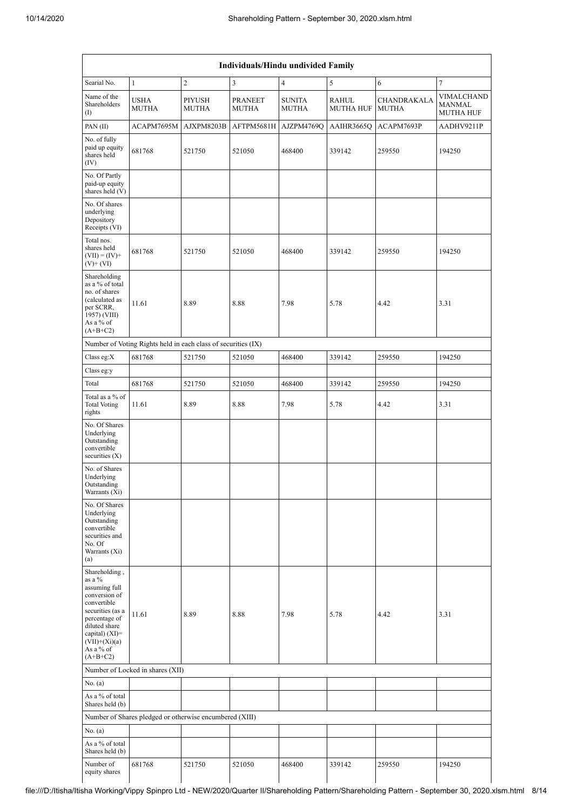| Individuals/Hindu undivided Family                                                                                                                                                               |                                                               |                               |                                |                               |                           |                             |                                                 |  |  |
|--------------------------------------------------------------------------------------------------------------------------------------------------------------------------------------------------|---------------------------------------------------------------|-------------------------------|--------------------------------|-------------------------------|---------------------------|-----------------------------|-------------------------------------------------|--|--|
| Searial No.                                                                                                                                                                                      | $\mathbf{1}$                                                  | $\overline{2}$                | $\mathfrak{Z}$                 | $\overline{4}$                | 5                         | 6                           | $\tau$                                          |  |  |
| Name of the<br>Shareholders<br>$\left( \mathrm{I}\right)$                                                                                                                                        | <b>USHA</b><br><b>MUTHA</b>                                   | <b>PIYUSH</b><br><b>MUTHA</b> | <b>PRANEET</b><br><b>MUTHA</b> | <b>SUNITA</b><br><b>MUTHA</b> | RAHUL<br><b>MUTHA HUF</b> | CHANDRAKALA<br><b>MUTHA</b> | VIMALCHAND<br><b>MANMAL</b><br><b>MUTHA HUF</b> |  |  |
| PAN $(II)$                                                                                                                                                                                       | ACAPM7695M                                                    | AJXPM8203B                    | AFTPM5681H                     | AJZPM4769Q                    | AAIHR3665Q                | ACAPM7693P                  | AADHV9211P                                      |  |  |
| No. of fully<br>paid up equity<br>shares held<br>(IV)                                                                                                                                            | 681768                                                        | 521750                        | 521050                         | 468400                        | 339142                    | 259550                      | 194250                                          |  |  |
| No. Of Partly<br>paid-up equity<br>shares held (V)                                                                                                                                               |                                                               |                               |                                |                               |                           |                             |                                                 |  |  |
| No. Of shares<br>underlying<br>Depository<br>Receipts (VI)                                                                                                                                       |                                                               |                               |                                |                               |                           |                             |                                                 |  |  |
| Total nos.<br>shares held<br>$(VII) = (IV) +$<br>$(V)$ + $(VI)$                                                                                                                                  | 681768                                                        | 521750                        | 521050                         | 468400                        | 339142                    | 259550                      | 194250                                          |  |  |
| Shareholding<br>as a % of total<br>no. of shares<br>(calculated as<br>per SCRR,<br>1957) (VIII)<br>As a % of<br>$(A+B+C2)$                                                                       | 11.61                                                         | 8.89                          | 8.88                           | 7.98                          | 5.78                      | 4.42                        | 3.31                                            |  |  |
|                                                                                                                                                                                                  | Number of Voting Rights held in each class of securities (IX) |                               |                                |                               |                           |                             |                                                 |  |  |
| Class eg: $X$                                                                                                                                                                                    | 681768                                                        | 521750                        | 521050                         | 468400                        | 339142                    | 259550                      | 194250                                          |  |  |
| Class eg:y                                                                                                                                                                                       |                                                               |                               |                                |                               |                           |                             |                                                 |  |  |
| Total                                                                                                                                                                                            | 681768                                                        | 521750                        | 521050                         | 468400                        | 339142                    | 259550                      | 194250                                          |  |  |
| Total as a % of<br><b>Total Voting</b><br>rights                                                                                                                                                 | 11.61                                                         | 8.89                          | 8.88                           | 7.98                          | 5.78                      | 4.42                        | 3.31                                            |  |  |
| No. Of Shares<br>Underlying<br>Outstanding<br>convertible<br>securities $(X)$                                                                                                                    |                                                               |                               |                                |                               |                           |                             |                                                 |  |  |
| No. of Shares<br>Underlying<br>Outstanding<br>Warrants (Xi)                                                                                                                                      |                                                               |                               |                                |                               |                           |                             |                                                 |  |  |
| No. Of Shares<br>Underlying<br>Outstanding<br>convertible<br>securities and<br>No. Of<br>Warrants (Xi)<br>(a)                                                                                    |                                                               |                               |                                |                               |                           |                             |                                                 |  |  |
| Shareholding,<br>as a %<br>assuming full<br>conversion of<br>convertible<br>securities (as a<br>percentage of<br>diluted share<br>capital) $(XI)=$<br>$(VII)+(Xi)(a)$<br>As a % of<br>$(A+B+C2)$ | 11.61                                                         | 8.89                          | 8.88                           | 7.98                          | 5.78                      | 4.42                        | 3.31                                            |  |  |
|                                                                                                                                                                                                  | Number of Locked in shares (XII)                              |                               |                                |                               |                           |                             |                                                 |  |  |
| No. (a)                                                                                                                                                                                          |                                                               |                               |                                |                               |                           |                             |                                                 |  |  |
| As a % of total<br>Shares held (b)                                                                                                                                                               |                                                               |                               |                                |                               |                           |                             |                                                 |  |  |
|                                                                                                                                                                                                  | Number of Shares pledged or otherwise encumbered (XIII)       |                               |                                |                               |                           |                             |                                                 |  |  |
| No. (a)                                                                                                                                                                                          |                                                               |                               |                                |                               |                           |                             |                                                 |  |  |
| As a % of total<br>Shares held (b)                                                                                                                                                               |                                                               |                               |                                |                               |                           |                             |                                                 |  |  |
| Number of<br>equity shares                                                                                                                                                                       | 681768                                                        | 521750                        | 521050                         | 468400                        | 339142                    | 259550                      | 194250                                          |  |  |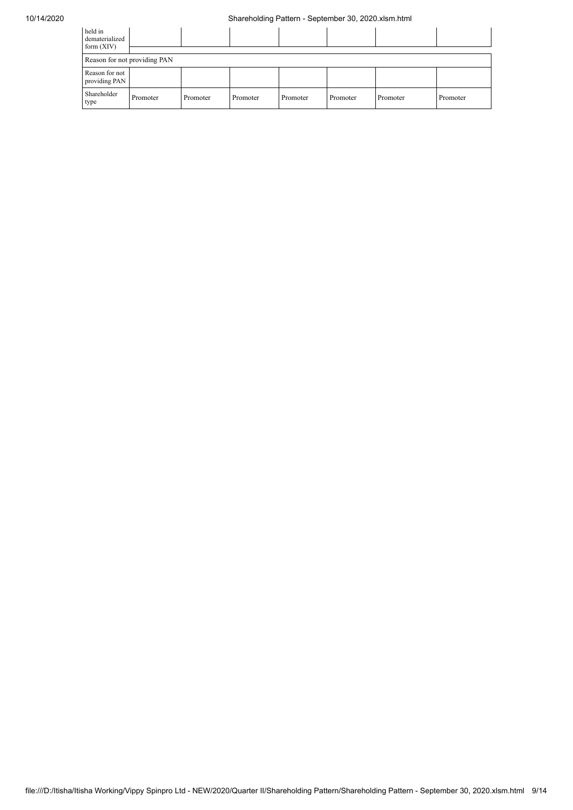| held in<br>dematerialized<br>form $(XIV)$ |          |          |          |          |          |          |          |
|-------------------------------------------|----------|----------|----------|----------|----------|----------|----------|
| Reason for not providing PAN              |          |          |          |          |          |          |          |
| Reason for not<br>providing PAN           |          |          |          |          |          |          |          |
| Shareholder<br>type                       | Promoter | Promoter | Promoter | Promoter | Promoter | Promoter | Promoter |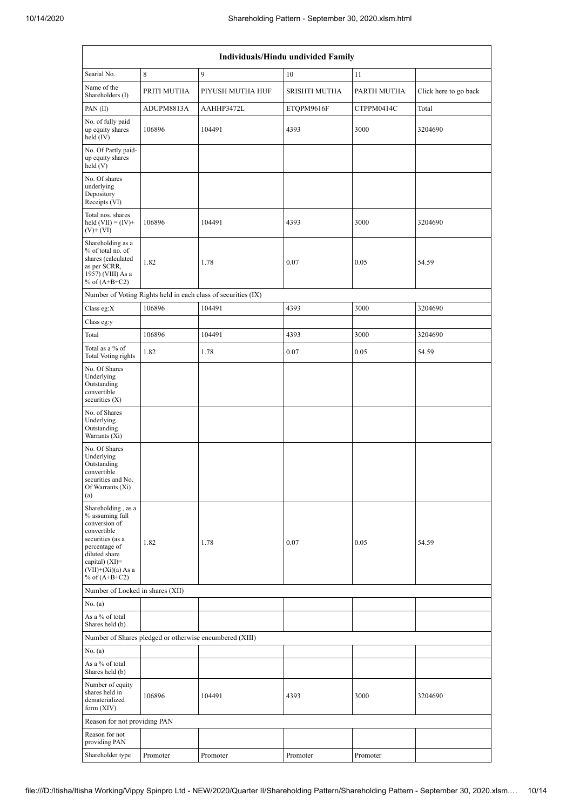|                                                                                                                                                                                             | <b>Individuals/Hindu undivided Family</b> |                                                               |               |             |                       |  |  |  |  |  |
|---------------------------------------------------------------------------------------------------------------------------------------------------------------------------------------------|-------------------------------------------|---------------------------------------------------------------|---------------|-------------|-----------------------|--|--|--|--|--|
| Searial No.                                                                                                                                                                                 | 8                                         | 9                                                             | 10            | 11          |                       |  |  |  |  |  |
| Name of the<br>Shareholders (I)                                                                                                                                                             | PRITI MUTHA                               | PIYUSH MUTHA HUF                                              | SRISHTI MUTHA | PARTH MUTHA | Click here to go back |  |  |  |  |  |
| PAN $(II)$                                                                                                                                                                                  | ADUPM8813A                                | AAHHP3472L                                                    | ETQPM9616F    | CTPPM0414C  | Total                 |  |  |  |  |  |
| No. of fully paid<br>up equity shares<br>held $(IV)$                                                                                                                                        | 106896                                    | 104491                                                        | 4393          | 3000        | 3204690               |  |  |  |  |  |
| No. Of Partly paid-<br>up equity shares<br>held $(V)$                                                                                                                                       |                                           |                                                               |               |             |                       |  |  |  |  |  |
| No. Of shares<br>underlying<br>Depository<br>Receipts (VI)                                                                                                                                  |                                           |                                                               |               |             |                       |  |  |  |  |  |
| Total nos. shares<br>held $(VII) = (IV) +$<br>$(V)$ + $(VI)$                                                                                                                                | 106896                                    | 104491                                                        | 4393          | 3000        | 3204690               |  |  |  |  |  |
| Shareholding as a<br>$%$ of total no. of<br>shares (calculated<br>as per SCRR,<br>1957) (VIII) As a<br>% of $(A+B+C2)$                                                                      | 1.82                                      | 1.78                                                          | 0.07          | 0.05        | 54.59                 |  |  |  |  |  |
|                                                                                                                                                                                             |                                           | Number of Voting Rights held in each class of securities (IX) |               |             |                       |  |  |  |  |  |
| Class eg: $X$                                                                                                                                                                               | 106896                                    | 104491                                                        | 4393          | 3000        | 3204690               |  |  |  |  |  |
| Class eg:y                                                                                                                                                                                  |                                           |                                                               |               |             |                       |  |  |  |  |  |
| Total                                                                                                                                                                                       | 106896                                    | 104491                                                        | 4393          | 3000        | 3204690               |  |  |  |  |  |
| Total as a % of<br>Total Voting rights                                                                                                                                                      | 1.82                                      | 1.78                                                          | 0.07          | 0.05        | 54.59                 |  |  |  |  |  |
| No. Of Shares<br>Underlying<br>Outstanding<br>convertible<br>securities $(X)$                                                                                                               |                                           |                                                               |               |             |                       |  |  |  |  |  |
| No. of Shares<br>Underlying<br>Outstanding<br>Warrants (Xi)                                                                                                                                 |                                           |                                                               |               |             |                       |  |  |  |  |  |
| No. Of Shares<br>Underlying<br>Outstanding<br>convertible<br>securities and No.<br>Of Warrants (Xi)<br>(a)                                                                                  |                                           |                                                               |               |             |                       |  |  |  |  |  |
| Shareholding, as a<br>% assuming full<br>conversion of<br>convertible<br>securities (as a<br>percentage of<br>diluted share<br>capital) $(XI)$ =<br>$(VII)+(Xi)(a) As a$<br>% of $(A+B+C2)$ | 1.82                                      | 1.78                                                          | 0.07          | 0.05        | 54.59                 |  |  |  |  |  |
| Number of Locked in shares (XII)                                                                                                                                                            |                                           |                                                               |               |             |                       |  |  |  |  |  |
| No. (a)                                                                                                                                                                                     |                                           |                                                               |               |             |                       |  |  |  |  |  |
| As a % of total<br>Shares held (b)                                                                                                                                                          |                                           |                                                               |               |             |                       |  |  |  |  |  |
|                                                                                                                                                                                             |                                           | Number of Shares pledged or otherwise encumbered (XIII)       |               |             |                       |  |  |  |  |  |
| No. (a)<br>As a % of total<br>Shares held (b)                                                                                                                                               |                                           |                                                               |               |             |                       |  |  |  |  |  |
| Number of equity<br>shares held in<br>dematerialized<br>form $(XIV)$                                                                                                                        | 106896                                    | 104491                                                        | 4393          | 3000        | 3204690               |  |  |  |  |  |
| Reason for not providing PAN                                                                                                                                                                |                                           |                                                               |               |             |                       |  |  |  |  |  |
| Reason for not<br>providing PAN                                                                                                                                                             |                                           |                                                               |               |             |                       |  |  |  |  |  |
| Shareholder type                                                                                                                                                                            | Promoter                                  | Promoter                                                      | Promoter      | Promoter    |                       |  |  |  |  |  |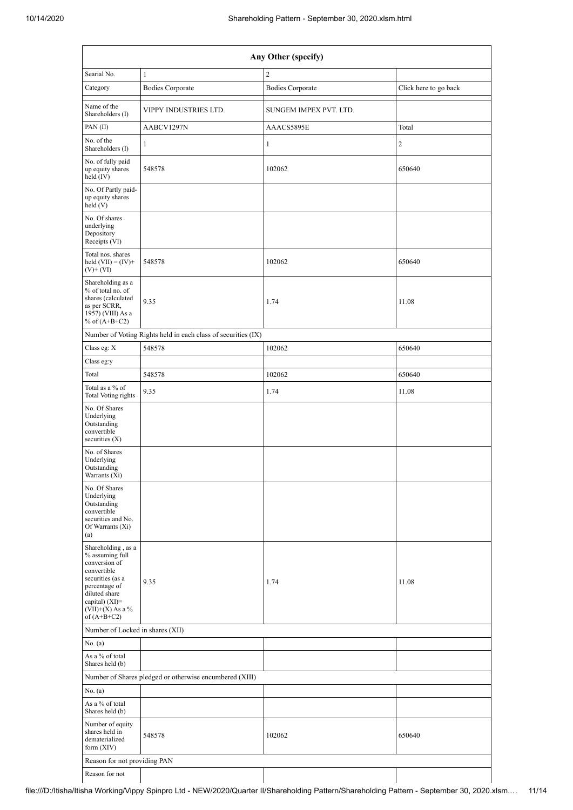| Any Other (specify)                                                                                                                                                                    |                                                               |                         |                       |  |  |  |  |  |  |
|----------------------------------------------------------------------------------------------------------------------------------------------------------------------------------------|---------------------------------------------------------------|-------------------------|-----------------------|--|--|--|--|--|--|
| Searial No.                                                                                                                                                                            | $\mathbf{1}$                                                  | $\overline{c}$          |                       |  |  |  |  |  |  |
| Category                                                                                                                                                                               | <b>Bodies Corporate</b>                                       | <b>Bodies Corporate</b> | Click here to go back |  |  |  |  |  |  |
| Name of the<br>Shareholders (I)                                                                                                                                                        | VIPPY INDUSTRIES LTD.                                         | SUNGEM IMPEX PVT. LTD.  |                       |  |  |  |  |  |  |
| PAN(II)                                                                                                                                                                                | AABCV1297N                                                    | AAACS5895E              | Total                 |  |  |  |  |  |  |
| No. of the<br>Shareholders (I)                                                                                                                                                         | $\mathbf{1}$                                                  | 1                       | 2                     |  |  |  |  |  |  |
| No. of fully paid<br>up equity shares<br>held (IV)                                                                                                                                     | 548578                                                        | 102062                  | 650640                |  |  |  |  |  |  |
| No. Of Partly paid-<br>up equity shares<br>held(V)                                                                                                                                     |                                                               |                         |                       |  |  |  |  |  |  |
| No. Of shares<br>underlying<br>Depository<br>Receipts (VI)                                                                                                                             |                                                               |                         |                       |  |  |  |  |  |  |
| Total nos. shares<br>held $(VII) = (IV) +$<br>$(V)$ + $(VI)$                                                                                                                           | 548578                                                        | 102062                  | 650640                |  |  |  |  |  |  |
| Shareholding as a<br>% of total no. of<br>shares (calculated<br>as per SCRR,<br>1957) (VIII) As a<br>% of $(A+B+C2)$                                                                   | 9.35                                                          | 1.74                    | 11.08                 |  |  |  |  |  |  |
|                                                                                                                                                                                        | Number of Voting Rights held in each class of securities (IX) |                         |                       |  |  |  |  |  |  |
| Class eg: X                                                                                                                                                                            | 548578                                                        | 102062                  | 650640                |  |  |  |  |  |  |
| Class eg:y                                                                                                                                                                             |                                                               |                         |                       |  |  |  |  |  |  |
| Total                                                                                                                                                                                  | 548578                                                        | 102062                  | 650640                |  |  |  |  |  |  |
| Total as a % of<br>Total Voting rights                                                                                                                                                 | 9.35                                                          | 1.74                    | 11.08                 |  |  |  |  |  |  |
| No. Of Shares<br>Underlying<br>Outstanding<br>convertible<br>securities $(X)$                                                                                                          |                                                               |                         |                       |  |  |  |  |  |  |
| No. of Shares<br>Underlying<br>Outstanding<br>Warrants (Xi)                                                                                                                            |                                                               |                         |                       |  |  |  |  |  |  |
| No. Of Shares<br>Underlying<br>Outstanding<br>convertible<br>securities and No.<br>Of Warrants (Xi)<br>(a)                                                                             |                                                               |                         |                       |  |  |  |  |  |  |
| Shareholding, as a<br>% assuming full<br>conversion of<br>convertible<br>securities (as a<br>percentage of<br>diluted share<br>capital) $(XI)=$<br>$(VII)+(X)$ As a %<br>of $(A+B+C2)$ | 9.35                                                          | 1.74                    | 11.08                 |  |  |  |  |  |  |
| Number of Locked in shares (XII)                                                                                                                                                       |                                                               |                         |                       |  |  |  |  |  |  |
| No. (a)                                                                                                                                                                                |                                                               |                         |                       |  |  |  |  |  |  |
| As a % of total<br>Shares held (b)                                                                                                                                                     |                                                               |                         |                       |  |  |  |  |  |  |
|                                                                                                                                                                                        | Number of Shares pledged or otherwise encumbered (XIII)       |                         |                       |  |  |  |  |  |  |
| No. (a)                                                                                                                                                                                |                                                               |                         |                       |  |  |  |  |  |  |
| As a % of total<br>Shares held (b)                                                                                                                                                     |                                                               |                         |                       |  |  |  |  |  |  |
| Number of equity<br>shares held in<br>dematerialized<br>form $(XIV)$                                                                                                                   | 548578                                                        | 102062                  | 650640                |  |  |  |  |  |  |
| Reason for not providing PAN                                                                                                                                                           |                                                               |                         |                       |  |  |  |  |  |  |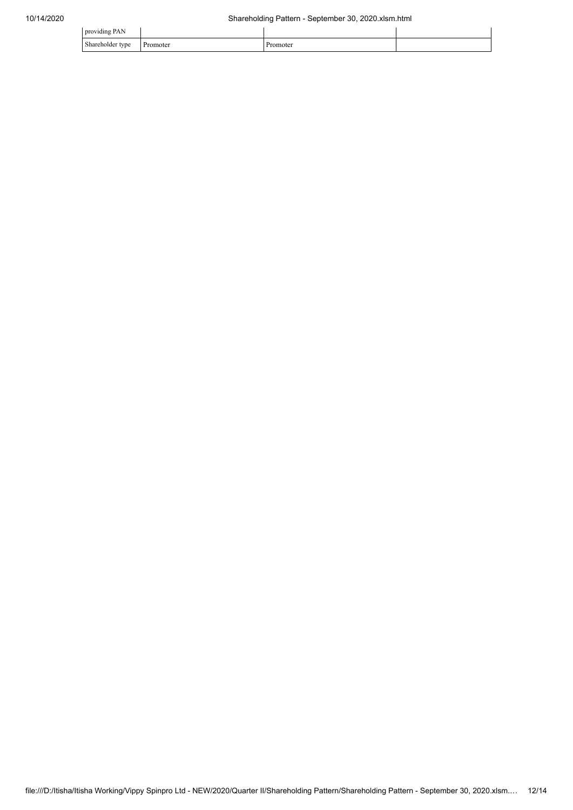| providing PAN           |          |          |  |
|-------------------------|----------|----------|--|
| Shareholder type<br>. . | Promoter | Promoter |  |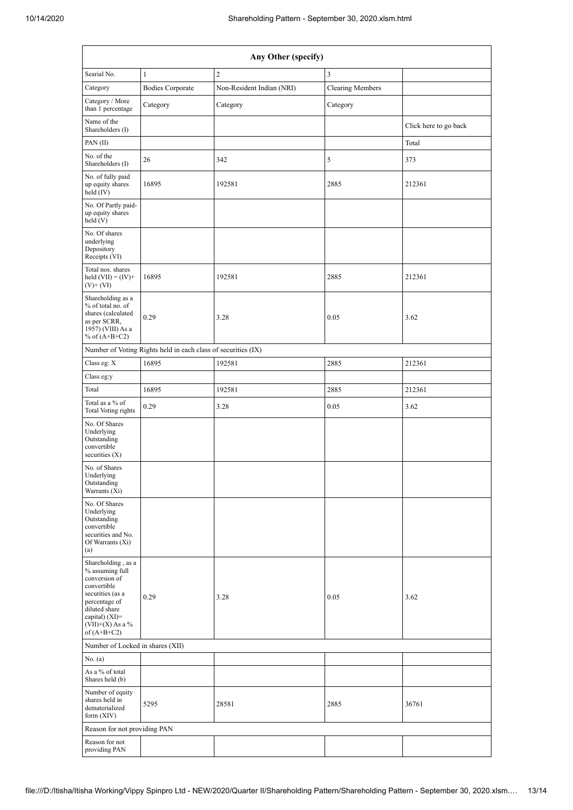| Any Other (specify)                                                                                                                                                                    |                                                               |                           |                         |                       |  |  |  |  |  |  |
|----------------------------------------------------------------------------------------------------------------------------------------------------------------------------------------|---------------------------------------------------------------|---------------------------|-------------------------|-----------------------|--|--|--|--|--|--|
| Searial No.                                                                                                                                                                            | $\mathbf{1}$                                                  | $\overline{2}$            | $\overline{3}$          |                       |  |  |  |  |  |  |
| Category                                                                                                                                                                               | <b>Bodies Corporate</b>                                       | Non-Resident Indian (NRI) | <b>Clearing Members</b> |                       |  |  |  |  |  |  |
| Category / More<br>than 1 percentage                                                                                                                                                   | Category                                                      | Category                  | Category                |                       |  |  |  |  |  |  |
| Name of the<br>Shareholders (I)                                                                                                                                                        |                                                               |                           |                         | Click here to go back |  |  |  |  |  |  |
| PAN $(II)$                                                                                                                                                                             |                                                               |                           |                         | Total                 |  |  |  |  |  |  |
| No. of the<br>Shareholders (I)                                                                                                                                                         | 26                                                            | 342                       | 5                       | 373                   |  |  |  |  |  |  |
| No. of fully paid<br>up equity shares<br>held (IV)                                                                                                                                     | 16895                                                         | 192581                    | 2885                    | 212361                |  |  |  |  |  |  |
| No. Of Partly paid-<br>up equity shares<br>held(V)                                                                                                                                     |                                                               |                           |                         |                       |  |  |  |  |  |  |
| No. Of shares<br>underlying<br>Depository<br>Receipts (VI)                                                                                                                             |                                                               |                           |                         |                       |  |  |  |  |  |  |
| Total nos. shares<br>held $(VII) = (IV) +$<br>$(V)$ + $(VI)$                                                                                                                           | 16895                                                         | 192581                    | 2885                    | 212361                |  |  |  |  |  |  |
| Shareholding as a<br>% of total no. of<br>shares (calculated<br>as per SCRR,<br>1957) (VIII) As a<br>% of $(A+B+C2)$                                                                   | 0.29                                                          | 3.28                      | 0.05                    | 3.62                  |  |  |  |  |  |  |
|                                                                                                                                                                                        | Number of Voting Rights held in each class of securities (IX) |                           |                         |                       |  |  |  |  |  |  |
| Class eg: X                                                                                                                                                                            | 16895                                                         | 192581                    | 2885                    | 212361                |  |  |  |  |  |  |
| Class eg:y                                                                                                                                                                             |                                                               |                           |                         |                       |  |  |  |  |  |  |
| Total                                                                                                                                                                                  | 16895                                                         | 192581                    | 2885                    | 212361                |  |  |  |  |  |  |
| Total as a % of<br>Total Voting rights                                                                                                                                                 | 0.29                                                          | 3.28                      | 0.05                    | 3.62                  |  |  |  |  |  |  |
| No. Of Shares<br>Underlying<br>Outstanding<br>convertible<br>securities $(X)$                                                                                                          |                                                               |                           |                         |                       |  |  |  |  |  |  |
| No. of Shares<br>Underlying<br>Outstanding<br>Warrants (Xi)                                                                                                                            |                                                               |                           |                         |                       |  |  |  |  |  |  |
| No. Of Shares<br>Underlying<br>Outstanding<br>convertible<br>securities and No.<br>Of Warrants (Xi)<br>(a)                                                                             |                                                               |                           |                         |                       |  |  |  |  |  |  |
| Shareholding, as a<br>% assuming full<br>conversion of<br>convertible<br>securities (as a<br>percentage of<br>diluted share<br>capital) $(XI)=$<br>$(VII)+(X)$ As a %<br>of $(A+B+C2)$ | 0.29                                                          | 3.28                      | 0.05                    | 3.62                  |  |  |  |  |  |  |
| Number of Locked in shares (XII)                                                                                                                                                       |                                                               |                           |                         |                       |  |  |  |  |  |  |
| No. (a)                                                                                                                                                                                |                                                               |                           |                         |                       |  |  |  |  |  |  |
| As a % of total<br>Shares held (b)                                                                                                                                                     |                                                               |                           |                         |                       |  |  |  |  |  |  |
| Number of equity<br>shares held in<br>dematerialized<br>form $(XIV)$                                                                                                                   | 5295                                                          | 28581                     | 2885                    | 36761                 |  |  |  |  |  |  |
| Reason for not providing PAN                                                                                                                                                           |                                                               |                           |                         |                       |  |  |  |  |  |  |
| Reason for not<br>providing PAN                                                                                                                                                        |                                                               |                           |                         |                       |  |  |  |  |  |  |